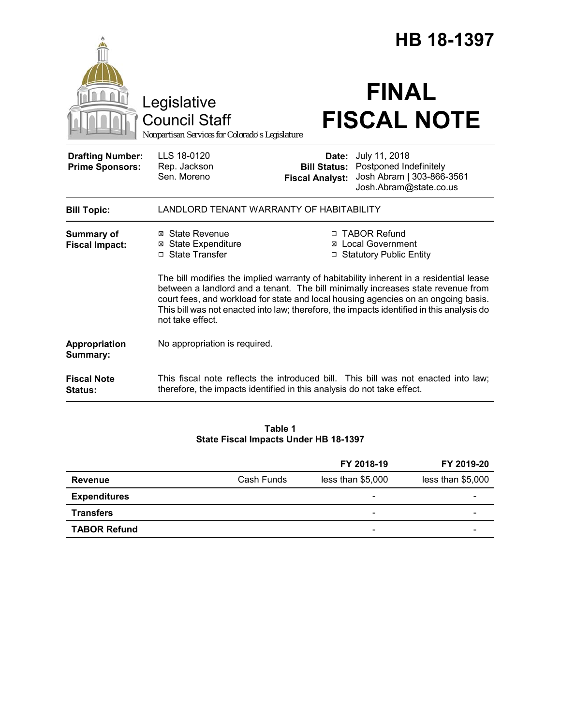|                                                   |                                                                                                               | <b>HB 18-1397</b>                                      |                                                                                                                                                                                                                                                                                                                                       |  |  |
|---------------------------------------------------|---------------------------------------------------------------------------------------------------------------|--------------------------------------------------------|---------------------------------------------------------------------------------------------------------------------------------------------------------------------------------------------------------------------------------------------------------------------------------------------------------------------------------------|--|--|
|                                                   | Legislative<br><b>Council Staff</b><br>Nonpartisan Services for Colorado's Legislature                        |                                                        | <b>FINAL</b><br><b>FISCAL NOTE</b>                                                                                                                                                                                                                                                                                                    |  |  |
| <b>Drafting Number:</b><br><b>Prime Sponsors:</b> | LLS 18-0120<br>Rep. Jackson<br>Sen. Moreno                                                                    | Date:<br><b>Bill Status:</b><br><b>Fiscal Analyst:</b> | July 11, 2018<br>Postponed Indefinitely<br>Josh Abram   303-866-3561<br>Josh.Abram@state.co.us                                                                                                                                                                                                                                        |  |  |
| <b>Bill Topic:</b>                                | LANDLORD TENANT WARRANTY OF HABITABILITY                                                                      |                                                        |                                                                                                                                                                                                                                                                                                                                       |  |  |
| <b>Summary of</b><br><b>Fiscal Impact:</b>        | ⊠ State Revenue<br><b>⊠</b> State Expenditure<br>□ State Transfer                                             |                                                        | □ TABOR Refund<br>⊠ Local Government<br>□ Statutory Public Entity<br>The bill modifies the implied warranty of habitability inherent in a residential lease<br>between a landlord and a tenant. The bill minimally increases state revenue from<br>court fees, and workload for state and local housing agencies on an ongoing basis. |  |  |
|                                                   | This bill was not enacted into law; therefore, the impacts identified in this analysis do<br>not take effect. |                                                        |                                                                                                                                                                                                                                                                                                                                       |  |  |
| Appropriation<br>Summary:                         | No appropriation is required.                                                                                 |                                                        |                                                                                                                                                                                                                                                                                                                                       |  |  |
| <b>Fiscal Note</b><br>Status:                     | therefore, the impacts identified in this analysis do not take effect.                                        |                                                        | This fiscal note reflects the introduced bill. This bill was not enacted into law;                                                                                                                                                                                                                                                    |  |  |

# **Table 1 State Fiscal Impacts Under HB 18-1397**

|                     |            | FY 2018-19               | FY 2019-20        |
|---------------------|------------|--------------------------|-------------------|
| <b>Revenue</b>      | Cash Funds | less than \$5,000        | less than \$5,000 |
| <b>Expenditures</b> |            | $\overline{\phantom{a}}$ | -                 |
| <b>Transfers</b>    |            | $\overline{\phantom{0}}$ | -                 |
| <b>TABOR Refund</b> |            | -                        |                   |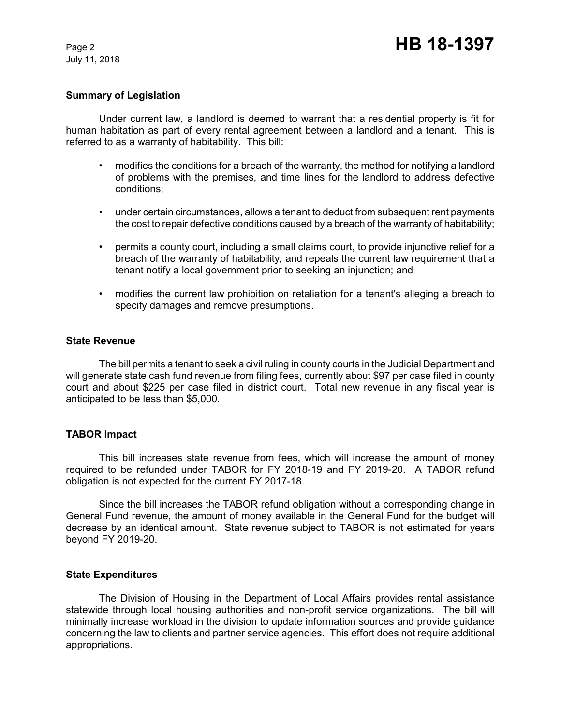July 11, 2018

#### **Summary of Legislation**

Under current law, a landlord is deemed to warrant that a residential property is fit for human habitation as part of every rental agreement between a landlord and a tenant. This is referred to as a warranty of habitability. This bill:

- modifies the conditions for a breach of the warranty, the method for notifying a landlord of problems with the premises, and time lines for the landlord to address defective conditions;
- under certain circumstances, allows a tenant to deduct from subsequent rent payments the cost to repair defective conditions caused by a breach of the warranty of habitability;
- permits a county court, including a small claims court, to provide injunctive relief for a breach of the warranty of habitability, and repeals the current law requirement that a tenant notify a local government prior to seeking an injunction; and
- modifies the current law prohibition on retaliation for a tenant's alleging a breach to specify damages and remove presumptions.

#### **State Revenue**

The bill permits a tenant to seek a civil ruling in county courts in the Judicial Department and will generate state cash fund revenue from filing fees, currently about \$97 per case filed in county court and about \$225 per case filed in district court. Total new revenue in any fiscal year is anticipated to be less than \$5,000.

# **TABOR Impact**

This bill increases state revenue from fees, which will increase the amount of money required to be refunded under TABOR for FY 2018-19 and FY 2019-20. A TABOR refund obligation is not expected for the current FY 2017-18.

Since the bill increases the TABOR refund obligation without a corresponding change in General Fund revenue, the amount of money available in the General Fund for the budget will decrease by an identical amount. State revenue subject to TABOR is not estimated for years beyond FY 2019-20.

# **State Expenditures**

The Division of Housing in the Department of Local Affairs provides rental assistance statewide through local housing authorities and non-profit service organizations. The bill will minimally increase workload in the division to update information sources and provide guidance concerning the law to clients and partner service agencies. This effort does not require additional appropriations.